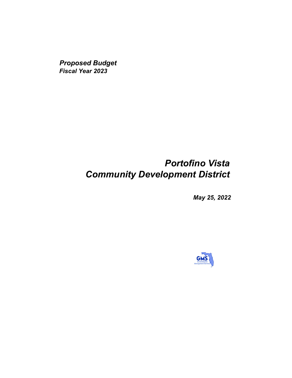*Proposed Budget Fiscal Year 2023*

## *Portofino Vista Community Development District*

*May 25, 2022*

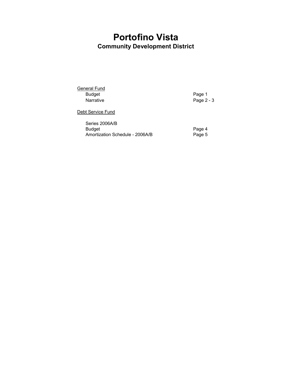## **Portofino Vista Community Development District**

General Fund<br>Budget Example 1 Budget Page 1<br>
Narrative Page 2

Page  $2 - 3$ 

Debt Service Fund

| Series 2006A/B                  |        |
|---------------------------------|--------|
| Budget                          | Page 4 |
| Amortization Schedule - 2006A/B | Page 5 |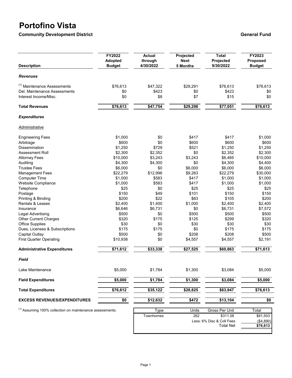## **Portofino Vista**

**Community Development District Community Development District General Fund** 

| <b>Description</b>                                           | FY2022<br><b>Adopted</b><br><b>Budget</b> | <b>Actual</b><br>through<br>4/30/2022 | Projected<br><b>Next</b><br>5 Months | <b>Total</b><br>Projected<br>9/30/2022 | FY2023<br>Proposed<br><b>Budget</b> |
|--------------------------------------------------------------|-------------------------------------------|---------------------------------------|--------------------------------------|----------------------------------------|-------------------------------------|
| <b>Revenues</b>                                              |                                           |                                       |                                      |                                        |                                     |
| <sup>(1)</sup> Maintenance Assessments                       | \$76,613                                  | \$47,322                              | \$29,291                             | \$76,613                               | \$76,613                            |
| Del. Maintenance Assessments                                 | \$0                                       | \$423                                 | \$0                                  | \$423                                  | \$0                                 |
| Interest Income/Misc.                                        | \$0                                       | \$8                                   | \$7                                  | \$15                                   | \$0                                 |
| <b>Total Revenues</b>                                        | \$76,613                                  | \$47,754                              | \$29,298                             | \$77,051                               | \$76,613                            |
| <b>Expenditures</b>                                          |                                           |                                       |                                      |                                        |                                     |
| Administrative                                               |                                           |                                       |                                      |                                        |                                     |
| <b>Engineering Fees</b>                                      | \$1,000                                   | \$0                                   | \$417                                | \$417                                  | \$1,000                             |
| Arbitrage                                                    | \$600                                     | \$0                                   | \$600                                | \$600                                  | \$600                               |
| <b>Dissemination</b>                                         | \$1,250                                   | \$729                                 | \$521                                | \$1,250                                | \$1,250                             |
| <b>Assessment Roll</b>                                       | \$2,300                                   | \$2,352                               | \$0                                  | \$2,352                                | \$2,300                             |
| <b>Attorney Fees</b>                                         | \$10,000                                  | \$3,243                               | \$3,243                              | \$6,485                                | \$10,000                            |
| Auditing                                                     | \$4,300                                   | \$4,300                               | \$0                                  | \$4,300                                | \$4,400                             |
| <b>Trustee Fees</b>                                          | \$6,000                                   | \$0                                   | \$6,000                              | \$6,000                                | \$6,000                             |
| <b>Management Fees</b>                                       | \$22,279                                  | \$12,996                              | \$9,283                              | \$22,279                               | \$30,000                            |
| <b>Computer Time</b>                                         | \$1,000                                   | \$583                                 | \$417                                | \$1,000                                | \$1,000                             |
| <b>Website Compliance</b>                                    | \$1,000                                   | \$583                                 | \$417                                | \$1,000                                | \$1,000                             |
| Telephone                                                    | \$25                                      | \$0                                   | \$25                                 | \$25                                   | \$25                                |
| Postage                                                      | \$150                                     | \$49                                  | \$101                                | \$150                                  | \$150                               |
| Printing & Binding                                           | \$200                                     | \$22                                  | \$83                                 | \$105                                  | \$200                               |
| <b>Rentals &amp; Leases</b>                                  | \$2,400                                   | \$1,400                               | \$1,000                              | \$2,400                                | \$2,400                             |
| Insurance                                                    | \$6,646                                   | \$6,731                               | \$0                                  | \$6,731                                | \$7,572                             |
| <b>Legal Advertising</b>                                     | \$500                                     | \$0                                   | \$500                                | \$500                                  | \$500                               |
| Other Current Charges                                        | \$320                                     | \$175                                 | \$125                                | \$299                                  | \$320                               |
| <b>Office Supplies</b>                                       | \$30                                      | \$0                                   | \$30                                 | \$30                                   | \$30                                |
| Dues, Licenses & Subscriptions                               | \$175                                     | \$175                                 | \$0                                  | \$175                                  | \$175                               |
| Capital Outlay                                               | \$500                                     | \$0                                   | \$208                                | \$208                                  | \$500                               |
| <b>First Quarter Operating</b>                               | \$10,938                                  | \$0                                   | \$4,557                              | \$4,557                                | \$2,191                             |
| <b>Administrative Expenditures</b>                           | \$71,612                                  | \$33,338                              | \$27,525                             | \$60,863                               | \$71,613                            |
| Field                                                        |                                           |                                       |                                      |                                        |                                     |
| Lake Maintenance                                             | \$5,000                                   | \$1,784                               | \$1,300                              | \$3,084                                | \$5,000                             |
| <b>Field Expenditures</b>                                    | \$5,000                                   | \$1,784                               | \$1,300                              | \$3,084                                | \$5,000                             |
| <b>Total Expenditures</b>                                    | \$76,612                                  | \$35,122                              | \$28,825                             | \$63,947                               | \$76,613                            |
| <b>EXCESS REVENUES/EXPENDITURES</b><br>\$0                   |                                           | \$12,632                              | \$472                                | \$13,104                               | \$0                                 |
| $^{(1)}$ Assuming 100% collection on maintenance assessments |                                           | T <sub>V</sub>                        | $I$ Inite                            | Cross Dor Linit                        | <b>Total</b>                        |

 $^{\prime}$  Assuming 100% collection on maintenance assessments.

| vpe       | Units                     | Gross Per Unit   | ⊺otal    |
|-----------|---------------------------|------------------|----------|
| Townhomes | 262                       | \$311.08         | \$81,503 |
|           | Less: 6% Disc & Coll Fees | (\$4,890)        |          |
|           |                           | <b>Total Net</b> | \$76,613 |
|           |                           |                  |          |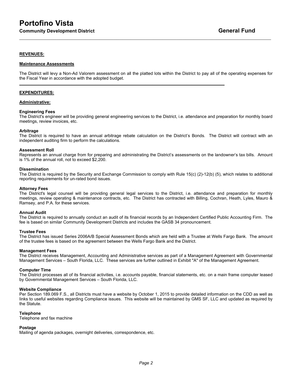#### **REVENUES:**

#### **Maintenance Assessments**

The District will levy a Non-Ad Valorem assessment on all the platted lots within the District to pay all of the operating expenses for the Fiscal Year in accordance with the adopted budget.

**\_\_\_\_\_\_\_\_\_\_\_\_\_\_\_\_\_\_\_\_\_\_\_\_\_\_\_\_\_\_\_\_\_\_\_\_\_\_\_\_\_\_\_\_\_\_\_\_\_\_\_\_\_\_\_\_\_\_\_\_\_\_\_\_\_\_\_\_\_\_\_\_\_\_\_\_\_\_\_\_\_\_\_\_\_\_**

 $\mathcal{L}_\mathcal{L} = \mathcal{L}_\mathcal{L} = \mathcal{L}_\mathcal{L} = \mathcal{L}_\mathcal{L} = \mathcal{L}_\mathcal{L} = \mathcal{L}_\mathcal{L} = \mathcal{L}_\mathcal{L} = \mathcal{L}_\mathcal{L} = \mathcal{L}_\mathcal{L} = \mathcal{L}_\mathcal{L} = \mathcal{L}_\mathcal{L} = \mathcal{L}_\mathcal{L} = \mathcal{L}_\mathcal{L} = \mathcal{L}_\mathcal{L} = \mathcal{L}_\mathcal{L} = \mathcal{L}_\mathcal{L} = \mathcal{L}_\mathcal{L}$ 

#### **EXPENDITURES:**

#### **Administrative:**

#### **Engineering Fees**

The District's engineer will be providing general engineering services to the District, i.e. attendance and preparation for monthly board meetings, review invoices, etc.

#### **Arbitrage**

The District is required to have an annual arbitrage rebate calculation on the District's Bonds. The District will contract with an independent auditing firm to perform the calculations.

#### **Assessment Roll**

Represents an annual charge from for preparing and administrating the District's assessments on the landowner's tax bills. Amount is 1% of the annual roll, not to exceed \$2,200.

#### **Dissemination**

The District is required by the Security and Exchange Commission to comply with Rule 15(c) (2)-12(b) (5), which relates to additional reporting requirements for un-rated bond issues.

#### **Attorney Fees**

The District's legal counsel will be providing general legal services to the District, i.e. attendance and preparation for monthly meetings, review operating & maintenance contracts, etc. The District has contracted with Billing, Cochran, Heath, Lyles, Mauro & Ramsey, and P.A. for these services.

#### **Annual Audit**

The District is required to annually conduct an audit of its financial records by an Independent Certified Public Accounting Firm. The fee is based on similar Community Development Districts and includes the GASB 34 pronouncement.

#### **Trustee Fees**

The District has issued Series 2006A/B Special Assessment Bonds which are held with a Trustee at Wells Fargo Bank. The amount of the trustee fees is based on the agreement between the Wells Fargo Bank and the District.

#### **Management Fees**

The District receives Management, Accounting and Administrative services as part of a Management Agreement with Governmental Management Services – South Florida, LLC. These services are further outlined in Exhibit "A" of the Management Agreement.

#### **Computer Time**

The District processes all of its financial activities, i.e. accounts payable, financial statements, etc. on a main frame computer leased by Governmental Management Services – South Florida, LLC.

#### **Website Compliance**

Per Section 189.069 F.S., all Districts must have a website by October 1, 2015 to provide detailed information on the CDD as well as links to useful websites regarding Compliance issues. This website will be maintained by GMS SF, LLC and updated as required by the Statute.

#### **Telephone**

Telephone and fax machine

#### **Postage**

Mailing of agenda packages, overnight deliveries, correspondence, etc.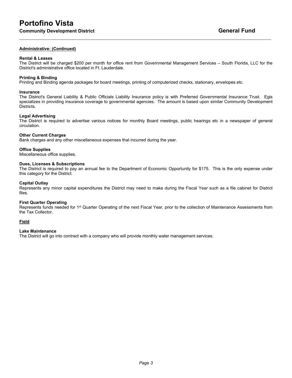#### **Administrative: (Continued)**

#### **Rental & Leases**

The District will be charged \$200 per month for office rent from Governmental Management Services – South Florida, LLC for the District's administrative office located in Ft. Lauderdale.

 $\mathcal{L}_\mathcal{L} = \mathcal{L}_\mathcal{L} = \mathcal{L}_\mathcal{L} = \mathcal{L}_\mathcal{L} = \mathcal{L}_\mathcal{L} = \mathcal{L}_\mathcal{L} = \mathcal{L}_\mathcal{L} = \mathcal{L}_\mathcal{L} = \mathcal{L}_\mathcal{L} = \mathcal{L}_\mathcal{L} = \mathcal{L}_\mathcal{L} = \mathcal{L}_\mathcal{L} = \mathcal{L}_\mathcal{L} = \mathcal{L}_\mathcal{L} = \mathcal{L}_\mathcal{L} = \mathcal{L}_\mathcal{L} = \mathcal{L}_\mathcal{L}$ 

### **Printing & Binding**

Printing and Binding agenda packages for board meetings, printing of computerized checks, stationary, envelopes etc.

#### **Insurance**

The District's General Liability & Public Officials Liability Insurance policy is with Preferred Governmental Insurance Trust. Egis specializes in providing insurance coverage to governmental agencies. The amount is based upon similar Community Development Districts.

#### **Legal Advertising**

The District is required to advertise various notices for monthly Board meetings, public hearings etc in a newspaper of general circulation.

#### **Other Current Charges**

Bank charges and any other miscellaneous expenses that incurred during the year.

#### **Office Supplies**

Miscellaneous office supplies.

#### **Dues, Licenses & Subscriptions**

The District is required to pay an annual fee to the Department of Economic Opportunity for \$175. This is the only expense under this category for the District.

#### **Capital Outlay**

Represents any minor capital expenditures the District may need to make during the Fiscal Year such as a file cabinet for District files.

#### **First Quarter Operating**

Represents funds needed for 1<sup>st</sup> Quarter Operating of the next Fiscal Year, prior to the collection of Maintenance Assessments from the Tax Collector.

#### **Field**

#### **Lake Maintenance**

The District will go into contract with a company who will provide monthly water management services.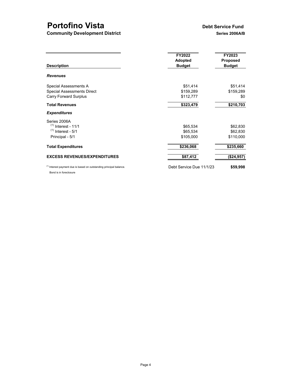# **Portofino Vista**<br> **Debt Service Fund<br>
Community Development District**<br>
Debt Series 2006A/B

**Community Development District** 

| <b>Description</b>                                                                                       | FY2022<br><b>Adopted</b><br><b>Budget</b> | FY2023<br><b>Proposed</b><br><b>Budget</b> |  |  |
|----------------------------------------------------------------------------------------------------------|-------------------------------------------|--------------------------------------------|--|--|
| <b>Revenues</b>                                                                                          |                                           |                                            |  |  |
| Special Assessments A                                                                                    | \$51,414                                  | \$51,414                                   |  |  |
| <b>Special Assessments Direct</b>                                                                        | \$159,289                                 | \$159,289                                  |  |  |
| <b>Carry Forward Surplus</b>                                                                             | \$112,777                                 | \$0                                        |  |  |
| <b>Total Revenues</b>                                                                                    | \$323,479                                 | \$210,703                                  |  |  |
| <b>Expenditures</b>                                                                                      |                                           |                                            |  |  |
| Series 2006A                                                                                             |                                           |                                            |  |  |
| $(1)$ Interest - 11/1                                                                                    | \$65,534                                  | \$62,830                                   |  |  |
| $(1)$ Interest - 5/1                                                                                     | \$65,534                                  | \$62,830                                   |  |  |
| Principal - 5/1                                                                                          | \$105,000                                 | \$110,000                                  |  |  |
| <b>Total Expenditures</b>                                                                                | \$236,068                                 | \$235,660                                  |  |  |
| <b>EXCESS REVENUES/EXPENDITURES</b>                                                                      | \$87,412                                  | (\$24,957)                                 |  |  |
| <sup>(1)</sup> Interest payment due is based on outstanding principal balance.<br>Bond is in foreclosure | Debt Service Due 11/1/23                  | \$59,998                                   |  |  |